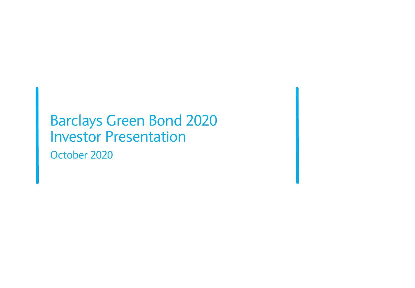# Barclays Green Bond 2020 Investor Presentation October 2020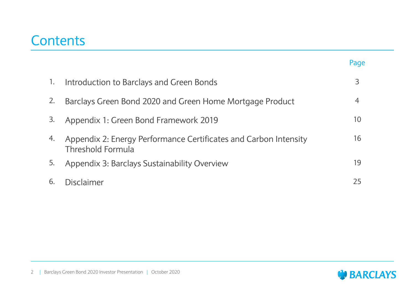## **Contents**

|    |                                                                                       | Page |
|----|---------------------------------------------------------------------------------------|------|
| 1. | Introduction to Barclays and Green Bonds                                              | 3    |
| 2. | Barclays Green Bond 2020 and Green Home Mortgage Product                              | 4    |
| 3. | Appendix 1: Green Bond Framework 2019                                                 | 10   |
| 4. | Appendix 2: Energy Performance Certificates and Carbon Intensity<br>Threshold Formula | 16   |
| 5. | Appendix 3: Barclays Sustainability Overview                                          | 19   |
| 6. | Disclaimer                                                                            | 25   |

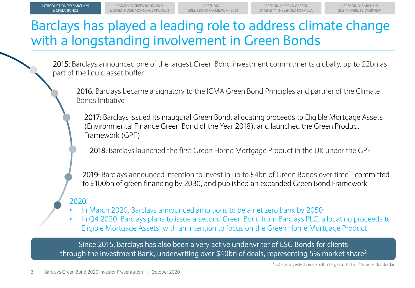## Barclays has played a leading role to address climate change with a longstanding involvement in Green Bonds

2015: Barclays announced one of the largest Green Bond investment commitments globally, up to £2bn as part of the liquid asset buffer

2016: Barclays became a signatory to the ICMA Green Bond Principles and partner of the Climate Bonds Initiative

2017: Barclays issued its inaugural Green Bond, allocating proceeds to Eligible Mortgage Assets (Environmental Finance Green Bond of the Year 2018), and launched the Green Product Framework (GPF)

2018: Barclays launched the first Green Home Mortgage Product in the UK under the GPF

2019: Barclays announced intention to invest in up to £4bn of Green Bonds over time<sup>1</sup>, committed to £100bn of green financing by 2030, and published an expanded Green Bond Framework

## 2020:

- In March 2020, Barclays announced ambitions to be a net zero bank by 2050
- In Q4 2020, Barclays plans to issue a second Green Bond from Barclays PLC, allocating proceeds to Eligible Mortgage Assets, with an intention to focus on the Green Home Mortgage Product

Since 2015, Barclays has also been a very active underwriter of ESG Bonds for clients through the Investment Bank, underwriting over \$40bn of deals, representing 5% market share<sup>2</sup>

<sup>1</sup> £2.7bn invested versus £4bn target at FY19 | <sup>2</sup> Source: Bondradar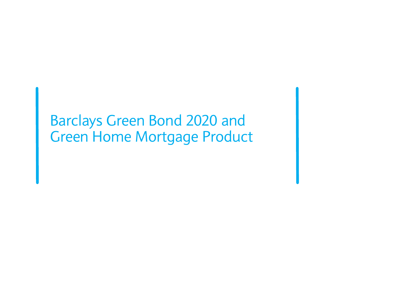# Barclays Green Bond 2020 and Green Home Mortgage Product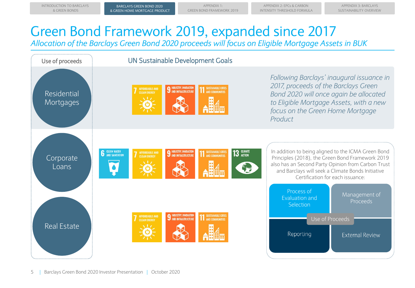APPENDIX 3: BARCLAYS SUSTAINABILITY OVERVIEW

# Green Bond Framework 2019, expanded since 2017

*Allocation of the Barclays Green Bond 2020 proceeds will focus on Eligible Mortgage Assets in BUK*

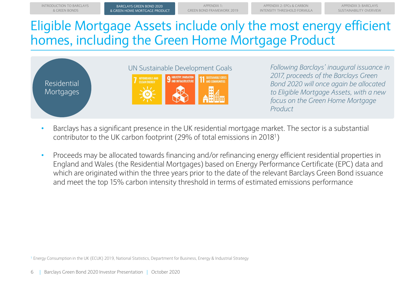APPENDIX 1:



BARCLAYS GREEN BOND 2020 BARCLAYS GREEN BOND 2020

INTRODUCTION TO BARCLAYS

*Following Barclays' inaugural issuance in 2017, proceeds of the Barclays Green Bond 2020 will once again be allocated to Eligible Mortgage Assets, with a new focus on the Green Home Mortgage Product*

APPENDIX 2: EPCs & CARBON

APPENDIX 3: BARCLAYS

- Barclays has a significant presence in the UK residential mortgage market. The sector is a substantial contributor to the UK carbon footprint (29% of total emissions in 2018<sup>1</sup> )
- Proceeds may be allocated towards financing and/or refinancing energy efficient residential properties in England and Wales (the Residential Mortgages) based on Energy Performance Certificate (EPC) data and which are originated within the three years prior to the date of the relevant Barclays Green Bond issuance and meet the top 15% carbon intensity threshold in terms of estimated emissions performance

<sup>1</sup> Energy Consumption in the UK (ECUK) 2019, National Statistics, Department for Business, Energy & Industrial Strategy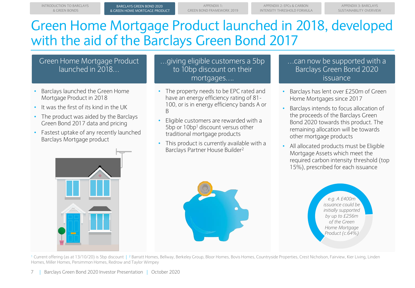# Green Home Mortgage Product launched in 2018, developed with the aid of the Barclays Green Bond 2017

### Green Home Mortgage Product launched in 2018…

- Barclays launched the Green Home Mortgage Product in 2018
- It was the first of its kind in the UK
- The product was aided by the Barclays Green Bond 2017 data and pricing
- Fastest uptake of any recently launched Barclays Mortgage product

…giving eligible customers a 5bp to 10bp discount on their mortgages….

- The property needs to be EPC rated and have an energy efficiency rating of 81- 100, or is in energy efficiency bands A or B
- Eligible customers are rewarded with a 5bp or 10bp<sup>1</sup> discount versus other traditional mortgage products
- This product is currently available with a Barclays Partner House Builder<sup>2</sup>

### …can now be supported with a Barclays Green Bond 2020 issuance

- Barclays has lent over £250m of Green Home Mortgages since 2017
- Barclays intends to focus allocation of the proceeds of the Barclays Green Bond 2020 towards this product. The remaining allocation will be towards other mortgage products
- All allocated products must be Eligible Mortgage Assets which meet the required carbon intensity threshold (top 15%), prescribed for each issuance





<sup>1</sup> Current offering (as at 13/10/20) is 5bp discount | <sup>2</sup> Barratt Homes, Bellway, Berkeley Group, Bloor Homes, Bovis Homes, Countryside Properties, Crest Nicholson, Fairview, Kier Living, Linden Homes, Miller Homes, Persimmon Homes, Redrow and Taylor Wimpey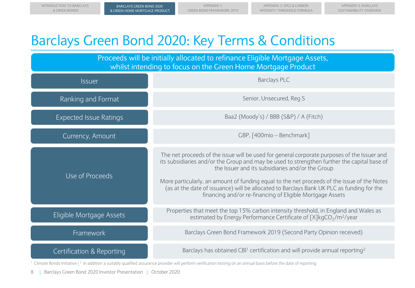APPFNDIX 3. BARCLAYS SUSTAINABILITY OVERVIEW

# Barclays Green Bond 2020: Key Terms & Conditions

Baa2 (Moody's) / BBB (S&P) / A (Fitch) Issuer Proceeds will be initially allocated to refinance Eligible Mortgage Assets, whilst intending to focus on the Green Home Mortgage Product Expected Issue Ratings Framework Currency, Amount Eligible Mortgage Assets Use of Proceeds GBP, [400mio – Benchmark] Barclays PLC Barclays Green Bond Framework 2019 (Second Party Opinion received) Properties that meet the top 15% carbon intensity threshold, in England and Wales as estimated by Energy Performance Certificate of  $[X]$ kgCO $_2$ /m<sup>2</sup>/year The net proceeds of the issue will be used for general corporate purposes of the Issuer and its subsidiaries and/or the Group and may be used to strengthen further the capital base of the Issuer and its subsidiaries and/or the Group More particularly, an amount of funding equal to the net proceeds of the issue of the Notes (as at the date of issuance) will be allocated to Barclays Bank UK PLC as funding for the financing and/or re-financing of Eligible Mortgage Assets Ranking and Format Senior, Unsecured, Reg S Certification & Reporting Barclays has obtained CBI<sup>1</sup> certification and will provide annual reporting<sup>2</sup>

<sup>1</sup> Climate Bonds Initiative  $\binom{2}{1}$  naddition a suitably qualified assurance provider will perform verification testing on an annual basis before the date of reporting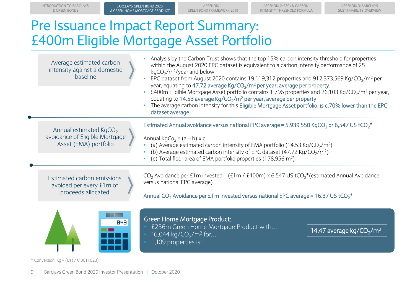APPENDIX 3: BARCLAYS SUSTAINABILITY OVERVIEW

# Pre Issuance Impact Report Summary: £400m Eligible Mortgage Asset Portfolio

| Average estimated carbon<br>intensity against a domestic<br>baseline                          | Analysis by the Carbon Trust shows that the top 15% carbon intensity threshold for properties<br>within the August 2020 EPC dataset is equivalent to a carbon intensity performance of 25<br>$kgCO2/m2/year$ and below<br>EPC dataset from August 2020 contains 19,119,312 properties and 912,373,569 Kg/CO <sub>2</sub> /m <sup>2</sup> per<br>year, equating to 47.72 average Kg/CO <sub>2</sub> /m <sup>2</sup> per year, average per property<br>£400m Eligible Mortgage Asset portfolio contains 1,796 properties and 26,103 Kg/CO <sub>2</sub> /m <sup>2</sup> per year,<br>equating to 14.53 average Kg/CO <sub>2</sub> /m <sup>2</sup> per year, average per property<br>The average carbon intensity for this Eligible Mortgage Asset portfolio, is c.70% lower than the EPC<br>dataset average |  |  |
|-----------------------------------------------------------------------------------------------|----------------------------------------------------------------------------------------------------------------------------------------------------------------------------------------------------------------------------------------------------------------------------------------------------------------------------------------------------------------------------------------------------------------------------------------------------------------------------------------------------------------------------------------------------------------------------------------------------------------------------------------------------------------------------------------------------------------------------------------------------------------------------------------------------------|--|--|
| Annual estimated KgCO <sub>2</sub><br>avoidance of Eligible Mortgage<br>Asset (EMA) portfolio | Estimated Annual avoidance versus national EPC average = 5,939,550 KgCO <sub>2</sub> or 6,547 US tCO <sub>2</sub> <sup>*</sup><br>Annual KgCo <sub>2</sub> = $(a - b) \times c$<br>(a) Average estimated carbon intensity of EMA portfolio (14.53 Kg/CO <sub>2</sub> /m <sup>2</sup> )<br>(b) Average estimated carbon intensity of EPC dataset (47.72 Kg/CO <sub>2</sub> /m <sup>2</sup> )<br>(c) Total floor area of EMA portfolio properties (178,956 m <sup>2</sup> )                                                                                                                                                                                                                                                                                                                                |  |  |
| Estimated carbon emissions<br>avoided per every £1m of<br>proceeds allocated                  | CO <sub>2</sub> Avoidance per £1m invested = (£1m / £400m) x 6,547 US tCO <sub>2</sub> <sup>*</sup> (estimated Annual Avoidance<br>versus national EPC average)<br>Annual CO <sub>2</sub> Avoidance per £1 m invested versus national EPC average = 16.37 US tCO <sub>2</sub> <sup>*</sup>                                                                                                                                                                                                                                                                                                                                                                                                                                                                                                               |  |  |
| a sa Ta<br><b>843</b>                                                                         | <b>Green Home Mortgage Product:</b><br>£256m Green Home Mortgage Product with<br>14.47 average kg/CO <sub>2</sub> /m <sup>2</sup><br>16,044 kg/CO <sub>2</sub> /m <sup>2</sup> for<br>1,109 properties is:                                                                                                                                                                                                                                                                                                                                                                                                                                                                                                                                                                                               |  |  |

\* Conversion: Kg = (Ust / 0.0011023)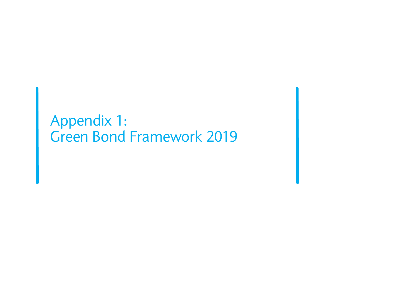# Appendix 1: Green Bond Framework 2019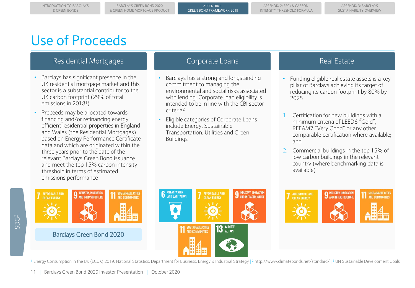# Use of Proceeds

### Residential Mortgages **Corporate Loans** Real Estate Real Estate

- Barclays has significant presence in the UK residential mortgage market and this sector is a substantial contributor to the UK carbon footprint (29% of total emissions in 2018<sup>1</sup>)
- Proceeds may be allocated towards financing and/or refinancing energy efficient residential properties in England and Wales (the Residential Mortgages) based on Energy Performance Certificate data and which are originated within the three years prior to the date of the relevant Barclays Green Bond issuance and meet the top 15% carbon intensity threshold in terms of estimated emissions performance

- Barclays has a strong and longstanding commitment to managing the environmental and social risks associated with lending. Corporate loan eligibility is intended to be in line with the CBI sector criteria<sup>2</sup>
- Eligible categories of Corporate Loans include Energy, Sustainable Transportation, Utilities and Green Buildings

- Funding eligible real estate assets is a key pillar of Barclays achieving its target of reducing its carbon footprint by 80% by 2025
- 1. Certification for new buildings with a minimum criteria of LEED6 "Gold", REEAM7 "Very Good" or any other comparable certification where available; and
- 2. Commercial buildings in the top 15% of low carbon buildings in the relevant country (where benchmarking data is available)







<sup>1</sup> Energy Consumption in the UK (ECUK) 2019, National Statistics, Department for Business, Energy & Industrial Strategy | <sup>2</sup> http://www.climatebonds.net/standard/ | <sup>3</sup> UN Sustainable Development Goals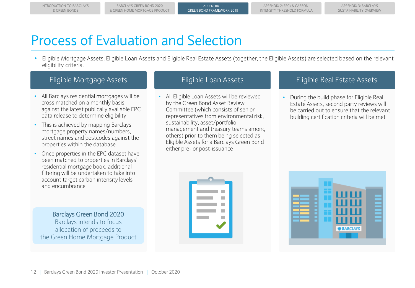# Process of Evaluation and Selection

• Eligible Mortgage Assets, Eligible Loan Assets and Eligible Real Estate Assets (together, the Eligible Assets) are selected based on the relevant eligibility criteria.

- All Barclays residential mortgages will be cross matched on a monthly basis against the latest publically available EPC data release to determine eligibility
- This is achieved by mapping Barclays mortgage property names/numbers, street names and postcodes against the properties within the database
- Once properties in the EPC dataset have been matched to properties in Barclays' residential mortgage book, additional filtering will be undertaken to take into account target carbon intensity levels and encumbrance

Barclays Green Bond 2020 Barclays intends to focus allocation of proceeds to the Green Home Mortgage Product

• All Eligible Loan Assets will be reviewed by the Green Bond Asset Review Committee (which consists of senior representatives from environmental risk, sustainability, asset/portfolio management and treasury teams among others) prior to them being selected as Eligible Assets for a Barclays Green Bond either pre- or post-issuance

### Eligible Mortgage Assets Eligible Loan Assets Eligible Real Estate Assets

• During the build phase for Eligible Real Estate Assets, second party reviews will be carried out to ensure that the relevant building certification criteria will be met



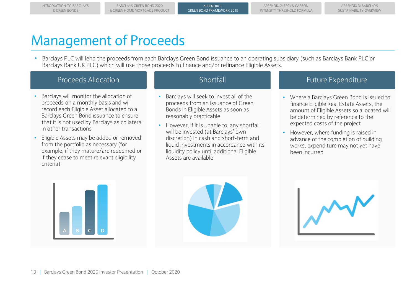BARCLAYS GREEN BOND 2020 & GREEN HOME MORTGAGE PRODUCT

# Management of Proceeds

• Barclays PLC will lend the proceeds from each Barclays Green Bond issuance to an operating subsidiary (such as Barclays Bank PLC or Barclays Bank UK PLC) which will use those proceeds to finance and/or refinance Eligible Assets.

### Proceeds Allocation **Shortfall** Shortfall Future Expenditure

- Barclays will monitor the allocation of proceeds on a monthly basis and will record each Eligible Asset allocated to a Barclays Green Bond issuance to ensure that it is not used by Barclays as collateral in other transactions
- Eligible Assets may be added or removed from the portfolio as necessary (for example, if they mature/are redeemed or if they cease to meet relevant eligibility criteria)

- Barclays will seek to invest all of the proceeds from an issuance of Green Bonds in Eligible Assets as soon as reasonably practicable
- However, if it is unable to, any shortfall will be invested (at Barclays' own discretion) in cash and short-term and liquid investments in accordance with its liquidity policy until additional Eligible Assets are available

- Where a Barclays Green Bond is issued to finance Eligible Real Estate Assets, the amount of Eligible Assets so allocated will be determined by reference to the expected costs of the project
- However, where funding is raised in advance of the completion of building works, expenditure may not yet have been incurred





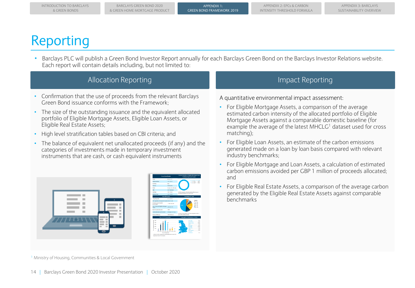# Reporting

• Barclays PLC will publish a Green Bond Investor Report annually for each Barclays Green Bond on the Barclays Investor Relations website. Each report will contain details including, but not limited to:

### Allocation Reporting The Impact Reporting Impact Reporting

- Confirmation that the use of proceeds from the relevant Barclays Green Bond issuance conforms with the Framework;
- The size of the outstanding issuance and the equivalent allocated portfolio of Eligible Mortgage Assets, Eligible Loan Assets, or Eligible Real Estate Assets;
- High level stratification tables based on CBI criteria; and
- The balance of equivalent net unallocated proceeds (if any) and the categories of investments made in temporary investment instruments that are cash, or cash equivalent instruments





A quantitative environmental impact assessment:

- For Eligible Mortgage Assets, a comparison of the average estimated carbon intensity of the allocated portfolio of Eligible Mortgage Assets against a comparable domestic baseline (for example the average of the latest  $MHCLG<sup>1</sup>$  dataset used for cross matching);
- For Eligible Loan Assets, an estimate of the carbon emissions generated made on a loan by loan basis compared with relevant industry benchmarks;
- For Eligible Mortgage and Loan Assets, a calculation of estimated carbon emissions avoided per GBP 1 million of proceeds allocated; and
- For Eligible Real Estate Assets, a comparison of the average carbon generated by the Eligible Real Estate Assets against comparable benchmarks

<sup>1</sup> Ministry of Housing, Communities & Local Government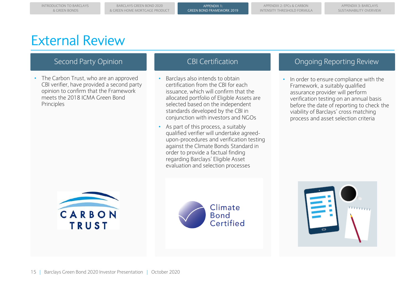BARCLAYS GREEN BOND 2020 & GREEN HOME MORTGAGE PRODUCT

# External Review

• The Carbon Trust, who are an approved CBI verifier, have provided a second party opinion to confirm that the Framework meets the 2018 ICMA Green Bond Principles

- Barclays also intends to obtain certification from the CBI for each issuance, which will confirm that the allocated portfolio of Eligible Assets are selected based on the independent standards developed by the CBI in conjunction with investors and NGOs
- As part of this process, a suitably qualified verifier will undertake agreedupon-procedures and verification testing against the Climate Bonds Standard in order to provide a factual finding regarding Barclays' Eligible Asset evaluation and selection processes

### Second Party Opinion **CBI Certification** CBI Certification CBI Certification CBI Certification CBI Certification

• In order to ensure compliance with the Framework, a suitably qualified assurance provider will perform verification testing on an annual basis before the date of reporting to check the viability of Barclays' cross matching process and asset selection criteria





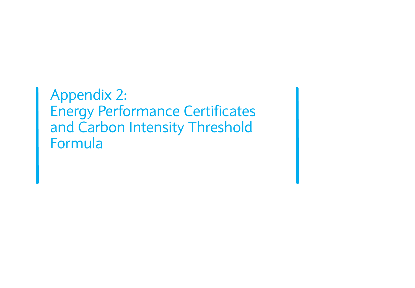Appendix 2: Energy Performance Certificates and Carbon Intensity Threshold Formula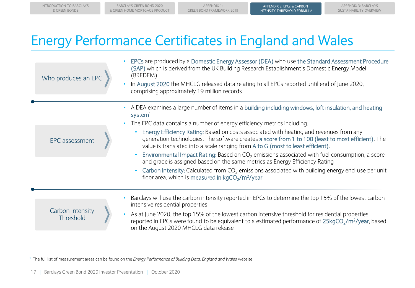APPENDIX 3: BARCLAYS SUSTAINABILITY OVERVIEW

## Energy Performance Certificates in England and Wales

| Who produces an EPC                  | EPCs are produced by a Domestic Energy Assessor (DEA) who use the Standard Assessment Procedure<br>(SAP) which is derived from the UK Building Research Establishment's Domestic Energy Model<br>(BREDEM)<br>In August 2020 the MHCLG released data relating to all EPCs reported until end of June 2020,<br>comprising approximately 19 million records                                                                                                                                                                                                                                                                                                                                                                                                                                                                                                                  |
|--------------------------------------|---------------------------------------------------------------------------------------------------------------------------------------------------------------------------------------------------------------------------------------------------------------------------------------------------------------------------------------------------------------------------------------------------------------------------------------------------------------------------------------------------------------------------------------------------------------------------------------------------------------------------------------------------------------------------------------------------------------------------------------------------------------------------------------------------------------------------------------------------------------------------|
| EPC assessment                       | A DEA examines a large number of items in a building including windows, loft insulation, and heating<br>$\bullet$<br>system<br>The EPC data contains a number of energy efficiency metrics including:<br>Energy Efficiency Rating: Based on costs associated with heating and revenues from any<br>generation technologies. The software creates a score from 1 to 100 (least to most efficient). The<br>value is translated into a scale ranging from A to G (most to least efficient).<br>Environmental Impact Rating: Based on $CO2$ emissions associated with fuel consumption, a score<br>$\bullet$<br>and grade is assigned based on the same metrics as Energy Efficiency Rating<br>Carbon Intensity: Calculated from $CO2$ emissions associated with building energy end-use per unit<br>floor area, which is measured in kgCO <sub>2</sub> /m <sup>2</sup> /year |
| Carbon Intensity<br><b>Threshold</b> | Barclays will use the carbon intensity reported in EPCs to determine the top 15% of the lowest carbon<br>intensive residential properties<br>As at June 2020, the top 15% of the lowest carbon intensive threshold for residential properties<br>reported in EPCs were found to be equivalent to a estimated performance of 25kgCO <sub>2</sub> /m <sup>2</sup> /year, based<br>on the August 2020 MHCLG data release                                                                                                                                                                                                                                                                                                                                                                                                                                                     |

<sup>1</sup> The full list of measurement areas can be found on the *Energy Performance of Building Data: England and Wales website*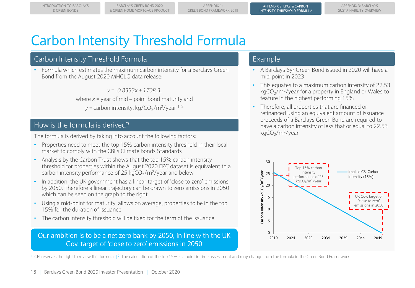# Carbon Intensity Threshold Formula

### Carbon Intensity Threshold Formula

• Formula which estimates the maximum carbon intensity for a Barclays Green Bond from the August 2020 MHCLG data release:

*y = -0.8333x + 1708.3*,

where  $x =$  year of mid – point bond maturity and y = carbon intensity, kg/CO<sub>2</sub>/m<sup>2</sup>/year <sup>1, 2</sup>

### How is the formula is derived?

The formula is derived by taking into account the following factors:

- Properties need to meet the top 15% carbon intensity threshold in their local market to comply with the CBI's Climate Bonds Standards
- Analysis by the Carbon Trust shows that the top 15% carbon intensity threshold for properties within the August 2020 EPC dataset is equivalent to a carbon intensity performance of 25  $kgCO_2/m^2$ /year and below
- In addition, the UK government has a linear target of 'close to zero' emissions by 2050. Therefore a linear trajectory can be drawn to zero emissions in 2050 which can be seen on the graph to the right
- Using a mid-point for maturity, allows on average, properties to be in the top 15% for the duration of issuance
- The carbon intensity threshold will be fixed for the term of the issuance

### Our ambition is to be a net zero bank by 2050, in line with the UK Gov. target of 'close to zero' emissions in 2050

### Example

- A Barclays 6yr Green Bond issued in 2020 will have a mid-point in 2023
- This equates to a maximum carbon intensity of 22.53 kgCO $_2$ /m<sup>2</sup>/year for a property in England or Wales to feature in the highest performing 15%
- Therefore, all properties that are financed or refinanced using an equivalent amount of issuance proceeds of a Barclays Green Bond are required to have a carbon intensity of less that or equal to 22.53 kgCO<sub>2</sub>/m<sup>2</sup>/year



<sup>1</sup> CBI reserves the right to review this formula |<sup>2</sup> The calculation of the top 15% is a point in time assessment and may change from the formula in the Green Bond Framework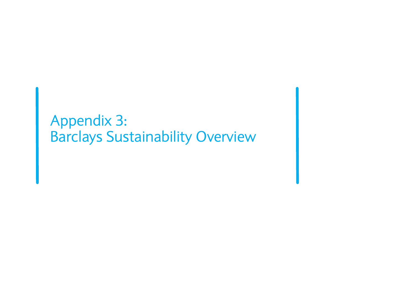# Appendix 3: Barclays Sustainability Overview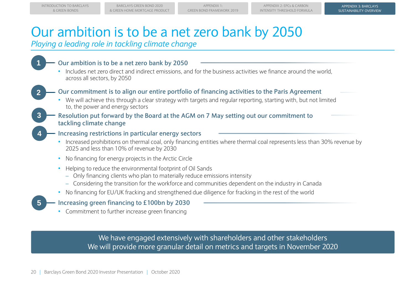# Our ambition is to be a net zero bank by 2050

*Playing a leading role in tackling climate change*

### **1 Our ambition is to be a net zero bank by 2050**

- Includes net zero direct and indirect emissions, and for the business activities we finance around the world, across all sectors, by 2050
- 

### **2 Our commitment is to align our entire portfolio of financing activities to the Paris Agreement**

- We will achieve this through a clear strategy with targets and regular reporting, starting with, but not limited to, the power and energy sectors
- **3 Resolution put forward by the Board at the AGM on 7 May setting out our commitment to tackling climate change**

### **4 Increasing restrictions in particular energy sectors**

- Increased prohibitions on thermal coal, only financing entities where thermal coal represents less than 30% revenue by 2025 and less than 10% of revenue by 2030
- No financing for energy projects in the Arctic Circle
- Helping to reduce the environmental footprint of Oil Sands
	- Only financing clients who plan to materially reduce emissions intensity
	- Considering the transition for the workforce and communities dependent on the industry in Canada
- No financing for EU/UK fracking and strengthened due diligence for fracking in the rest of the world

### **5 Increasing green financing to £100bn by 2030**

• Commitment to further increase green financing

We have engaged extensively with shareholders and other stakeholders We will provide more granular detail on metrics and targets in November 2020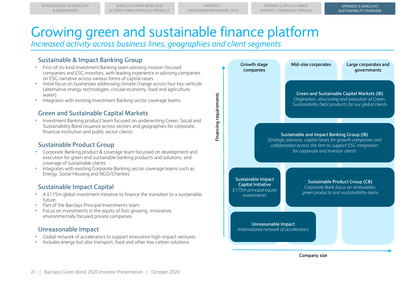**Financing requirements**

Financing requirements

APPENDIX 3: BARCLAYS APPENDIX 3: BARCLAYS SUSTAINABILITY OVERVIEW SUSTAINABILITY OVERVIEW

# Growing green and sustainable finance platform

*Increased activity across business lines, geographies and client segments* 

### **Sustainable & Impact Banking Group**

- First-of-its-kind Investment Banking team advising mission-focused companies and ESG investors, with leading experience in advising companies on ESG narrative across various forms of capital raises
- Initial focus on businesses addressing climate change across four key verticals (alternative energy technologies, circular economy, food and agriculture, water)
- Integrates with existing Investment Banking sector coverage teams

### **Green and Sustainable Capital Markets**

• Investment Banking product team focused on underwriting Green, Social and Sustainability Bond issuance across sectors and geographies for corporate, financial institution and public sector clients

### **Sustainable Product Group**

- Corporate Banking product & coverage team focussed on development and execution for green and sustainable banking products and solutions, and coverage of sustainable clients
- Integrates with existing Corporate Banking sector coverage teams such as Energy, Social Housing and NGO/Charities

### **Sustainable Impact Capital**

- A £175m global investment initiative to finance the transition to a sustainable future
- Part of the Barclays Principal Investments team
- Focus on investments in the equity of fast-growing, innovative, environmentally focused private companies

### **Unreasonable Impact**

- Global network of accelerators to support innovative high-impact ventures
- Includes energy but also transport, food and other low carbon solutions



**Company size**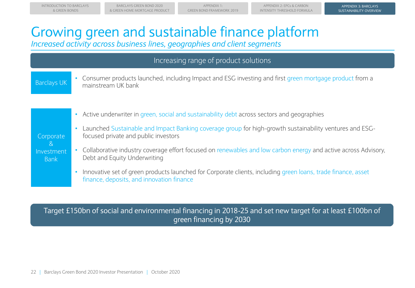APPENDIX 3: BARCLAYS APPENDIX 3: BARCLAYS SUSTAINABILITY OVERVIEW SUSTAINABILITY OVERVIEW

# Growing green and sustainable finance platform

*Increased activity across business lines, geographies and client segments* 

## Increasing range of product solutions

### Barclays UK

• Consumer products launched, including Impact and ESG investing and first green mortgage product from a mainstream UK bank

### **Corporate** & Investment Bank

- Active underwriter in green, social and sustainability debt across sectors and geographies
- Launched Sustainable and Impact Banking coverage group for high-growth sustainability ventures and ESGfocused private and public investors
- Collaborative industry coverage effort focused on renewables and low carbon energy and active across Advisory, Debt and Equity Underwriting
- Innovative set of green products launched for Corporate clients, including green loans, trade finance, asset finance, deposits, and innovation finance

## Target £150bn of social and environmental financing in 2018-25 and set new target for at least £100bn of green financing by 2030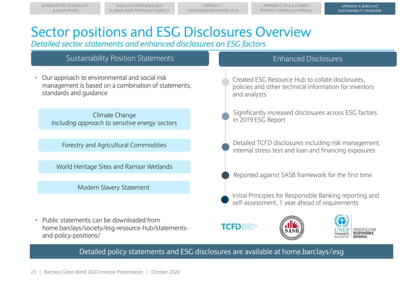APPENDIX 3: BARCLAYS APPENDIX 3: BARCLAYS SUSTAINABILITY OVERVIEW SUSTAINABILITY OVERVIEW

# Sector positions and ESG Disclosures Overview

*Detailed sector statements and enhanced disclosures on ESG factors*

### Sustainability Position Statements

• Our approach to environmental and social risk management is based on a combination of statements, standards and guidance

Climate Change *Including approach to sensitive energy sectors* 

Forestry and Agricultural Commodities

World Heritage Sites and Ramsar Wetlands

Modern Slavery Statement

• Public statements can be downloaded from home.barclays/society/esg-resource-hub/statementsand-policy-positions/

### Enhanced Disclosures

Created ESG Resource Hub to collate disclosures, policies and other technical information for investors and analysts

Significantly increased disclosures across ESG factors in 2019 ESG Report

Detailed TCFD disclosures including risk management, internal stress test and loan and financing exposures

Reported against SASB framework for the first time

Initial Principles for Responsible Banking reporting and self-assessment, 1 year ahead of requirements







Detailed policy statements and ESG disclosures are available at home.barclays/esg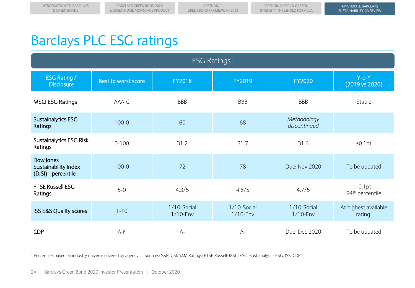# Barclays PLC ESG ratings

| ESG Ratings <sup>1</sup>                                 |                     |                            |                            |                             |                                         |  |  |  |
|----------------------------------------------------------|---------------------|----------------------------|----------------------------|-----------------------------|-----------------------------------------|--|--|--|
| <b>ESG Rating /</b><br><b>Disclosure</b>                 | Best to worst score | <b>FY2018</b>              | <b>FY2019</b>              | <b>FY2020</b>               | $Y$ -o- $Y$<br>(2019 vs 2020)           |  |  |  |
| <b>MSCI ESG Ratings</b>                                  | AAA-C               | <b>BBB</b>                 | <b>BBB</b>                 | <b>BBB</b>                  | Stable                                  |  |  |  |
| Sustainalytics ESG<br>Ratings                            | $100 - 0$           | 60                         | 68                         | Methodology<br>discontinued |                                         |  |  |  |
| <b>Sustainalytics ESG Risk</b><br>Ratings                | $0 - 100$           | 31.2                       | 31.7                       | 31.6                        | $+0.1$ pt                               |  |  |  |
| Dow Jones<br>Sustainability Index<br>(DJSI) - percentile | $100 - 0$           | 72                         | 78                         | Due: Nov 2020               | To be updated                           |  |  |  |
| <b>FTSE Russell ESG</b><br>Ratings                       | $5-0$               | 4.3/5                      | 4.8/5                      | 4.7/5                       | $-0.1pt$<br>94 <sup>th</sup> percentile |  |  |  |
| <b>ISS E&amp;S Quality scores</b>                        | $1 - 10$            | 1/10-Social<br>$1/10$ -Env | 1/10-Social<br>$1/10$ -Env | 1/10-Social<br>$1/10$ -Env  | At highest available<br>rating          |  |  |  |
| <b>CDP</b>                                               | $A-F$               | $A-$                       | $A-$                       | Due: Dec 2020               | To be updated                           |  |  |  |

<sup>1</sup> Percentiles based on industry universe covered by agency. | Sources: S&P DJSI/SAM Ratings; FTSE Russell; MSCI ESG; Sustainalytics ESG, ISS, CDP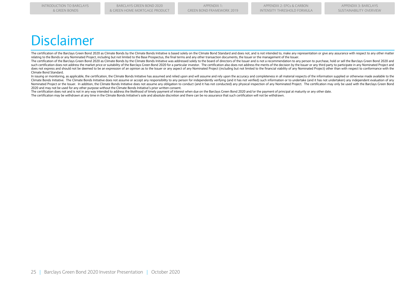## Disclaimer

The certification of the Barclays Green Bond 2020 as Climate Bonds by the Climate Bonds Initiative is based solely on the Climate Bond Standard and does not, and is not intended to, make any representation or give any assu relating to the Bonds or any Nominated Project, including but not limited to the Base Prospectus, the final terms and any other transaction documents, the Issuer or the management of the Issuer.

The certification of the Barclays Green Bond 2020 as Climate Bonds by the Climate Bonds Initiative was addressed solely to the board of directors of the Issuer and is not a recommendation to any person to purchase, hold or such certification does not address the market price or suitability of the Barclays Green Bond 2020 for a particular investor. The certification also does not address the merits of the decision by the Issuer or any third p does not express and should not be deemed to be an expression of an opinion as to the Issuer or any aspect of any Nominated Project (including but not limited to the financial viability of any Nominated Project) other than Climate Bond Standard.

In issuing or monitoring, as applicable, the certification, the Climate Bonds Initiative has assumed and relied upon and will assume and rely upon the accuracy and completeness in all material respects of the information s Climate Bonds Initiative. The Climate Bonds Initiative does not assume or accept any responsibility to any person for independently verifying (and it has not verified) such information or to undertake (and it has not under Nominated Project or the Issuer. In addition, the Climate Bonds Initiative does not assume any obligation to conduct (and it has not conducted) any physical inspection of any Nominated Project. The certification may only b 2020 and may not be used for any other purpose without the Climate Bonds Initiative's prior written consent.

The certification does not and is not in any way intended to address the likelihood of timely payment of interest when due on the Barclays Green Bond 2020 and/or the payment of principal at maturity or any other date.

The certification may be withdrawn at any time in the Climate Bonds Initiative's sole and absolute discretion and there can be no assurance that such certification will not be withdrawn.